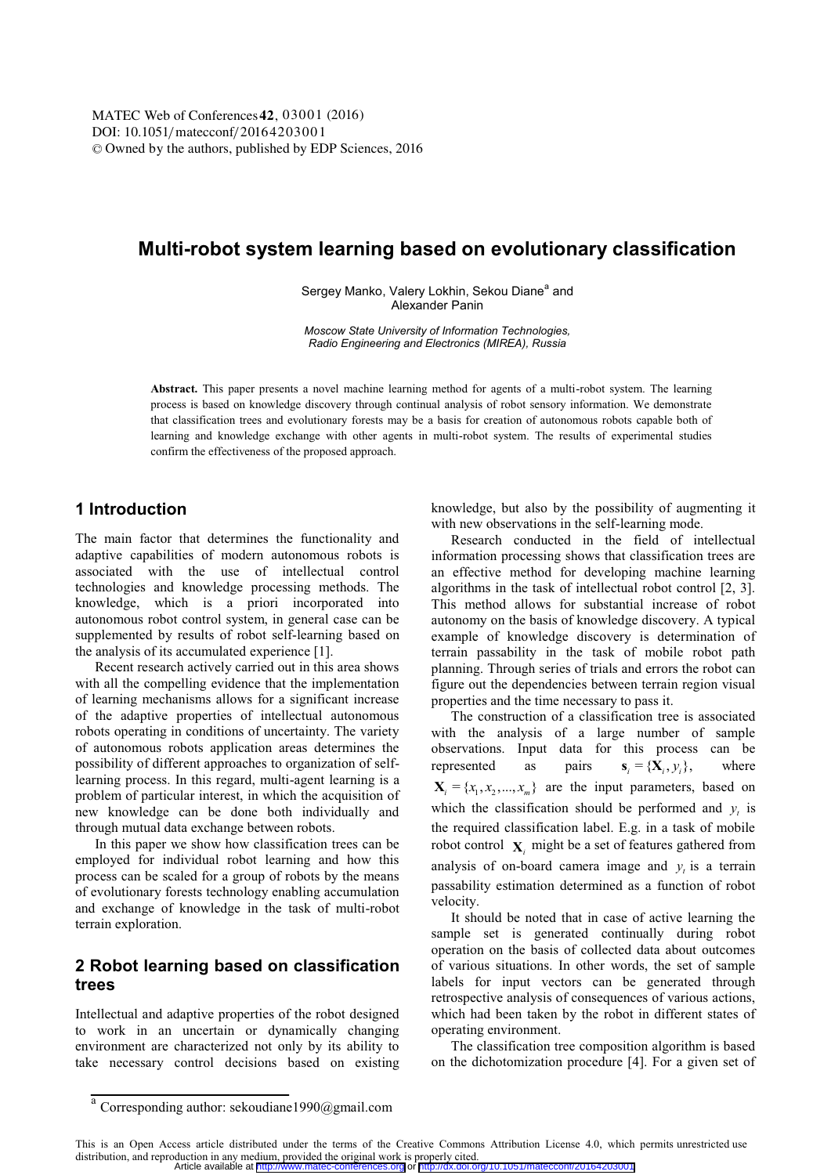# **Multi-robot system learning based on evolutionary classification**

Sergey Manko, Valery Lokhin, Sekou Diane<sup>a</sup> and Alexander Panin

*Moscow State University of Information Technologies, Radio Engineering and Electronics (MIREA), Russia* 

**Abstract.** This paper presents a novel machine learning method for agents of a multi-robot system. The learning process is based on knowledge discovery through continual analysis of robot sensory information. We demonstrate that classification trees and evolutionary forests may be a basis for creation of autonomous robots capable both of learning and knowledge exchange with other agents in multi-robot system. The results of experimental studies confirm the effectiveness of the proposed approach.

### **1 Introduction**

The main factor that determines the functionality and adaptive capabilities of modern autonomous robots is associated with the use of intellectual control technologies and knowledge processing methods. The knowledge, which is a priori incorporated into autonomous robot control system, in general case can be supplemented by results of robot self-learning based on the analysis of its accumulated experience [1].

Recent research actively carried out in this area shows with all the compelling evidence that the implementation of learning mechanisms allows for a significant increase of the adaptive properties of intellectual autonomous robots operating in conditions of uncertainty. The variety of autonomous robots application areas determines the possibility of different approaches to organization of selflearning process. In this regard, multi-agent learning is a problem of particular interest, in which the acquisition of new knowledge can be done both individually and through mutual data exchange between robots.

In this paper we show how classification trees can be employed for individual robot learning and how this process can be scaled for a group of robots by the means of evolutionary forests technology enabling accumulation and exchange of knowledge in the task of multi-robot terrain exploration.

## **2 Robot learning based on classification trees**

Intellectual and adaptive properties of the robot designed to work in an uncertain or dynamically changing environment are characterized not only by its ability to take necessary control decisions based on existing knowledge, but also by the possibility of augmenting it with new observations in the self-learning mode.

Research conducted in the field of intellectual information processing shows that classification trees are an effective method for developing machine learning algorithms in the task of intellectual robot control [2, 3]. This method allows for substantial increase of robot autonomy on the basis of knowledge discovery. A typical example of knowledge discovery is determination of terrain passability in the task of mobile robot path planning. Through series of trials and errors the robot can figure out the dependencies between terrain region visual properties and the time necessary to pass it.

The construction of a classification tree is associated with the analysis of a large number of sample observations. Input data for this process can be represented as pairs  $\mathbf{s}_i = {\{\mathbf{X}_i, y_i\}}$ , where  $\mathbf{X}_i = \{x_1, x_2, ..., x_m\}$  are the input parameters, based on which the classification should be performed and  $y_t$  is the required classification label. E.g. in a task of mobile robot control  $\mathbf{X}_i$  might be a set of features gathered from analysis of on-board camera image and  $y<sub>t</sub>$  is a terrain passability estimation determined as a function of robot velocity.

It should be noted that in case of active learning the sample set is generated continually during robot operation on the basis of collected data about outcomes of various situations. In other words, the set of sample labels for input vectors can be generated through retrospective analysis of consequences of various actions, which had been taken by the robot in different states of operating environment.

The classification tree composition algorithm is based on the dichotomization procedure [4]. For a given set of

 $a$  Corresponding author: sekoudiane1990@gmail.com

This is an Open Access article distributed under the terms of the Creative Commons Attribution License 4.0, which permits unrestricted use distribution, and reproduction in any medium, provided the original work is properly cited. Article available at <http://www.matec-conferences.org> or <http://dx.doi.org/10.1051/matecconf/20164203001>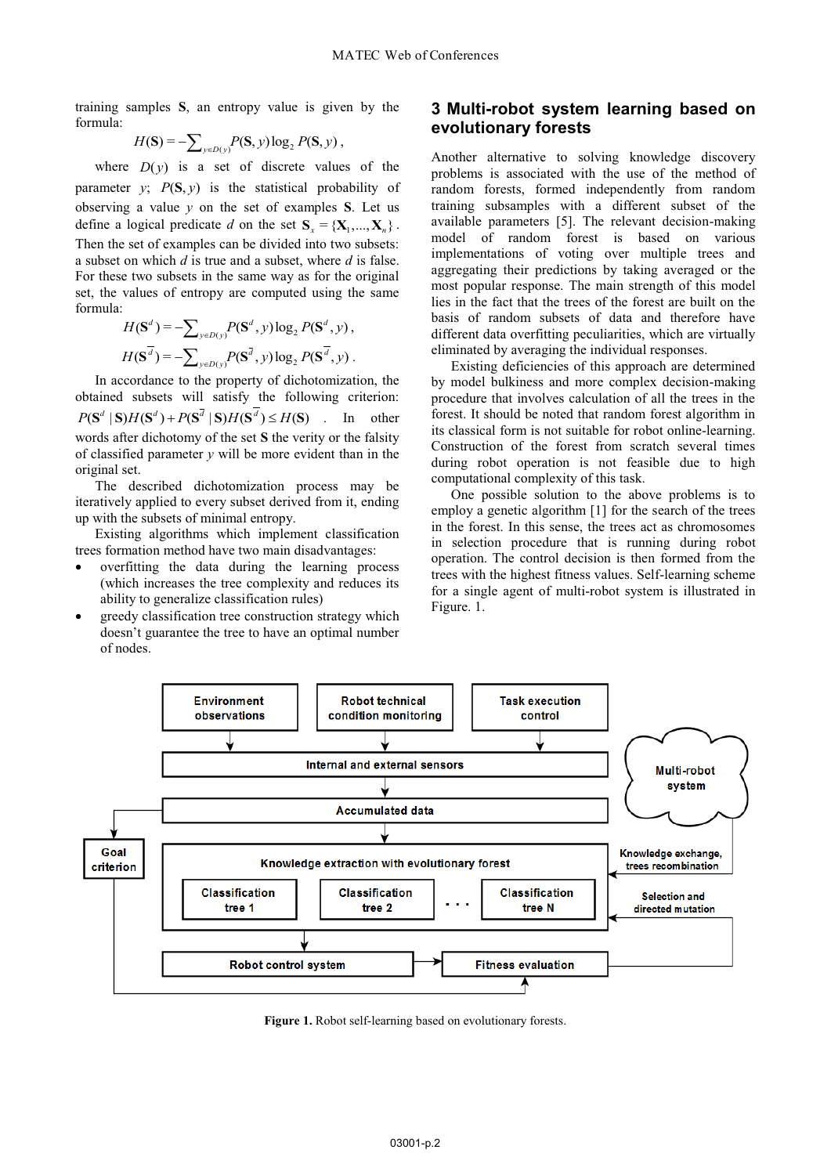training samples **S**, an entropy value is given by the formula:

$$
H(\mathbf{S}) = -\sum_{y \in D(y)} P(\mathbf{S}, y) \log_2 P(\mathbf{S}, y) ,
$$

where  $D(y)$  is a set of discrete values of the parameter *y*;  $P(S, y)$  is the statistical probability of observing a value *y* on the set of examples **S**. Let us define a logical predicate *d* on the set  $S = \{X_1, ..., X_n\}$ . Then the set of examples can be divided into two subsets: a subset on which *d* is true and a subset, where *d* is false. For these two subsets in the same way as for the original set, the values of entropy are computed using the same formula:

$$
H(\mathbf{S}^d) = -\sum_{y \in D(y)} P(\mathbf{S}^d, y) \log_2 P(\mathbf{S}^d, y),
$$
  

$$
H(\mathbf{S}^{\overline{d}}) = -\sum_{y \in D(y)} P(\mathbf{S}^{\overline{d}}, y) \log_2 P(\mathbf{S}^{\overline{d}}, y).
$$

In accordance to the property of dichotomization, the obtained subsets will satisfy the following criterion:  $P(S^d | S)H(S^d) + P(S^{\overline{d}} | S)H(S^{\overline{d}}) \leq H(S)$  . In other words after dichotomy of the set **S** the verity or the falsity of classified parameter  $\nu$  will be more evident than in the original set.

The described dichotomization process may be iteratively applied to every subset derived from it, ending up with the subsets of minimal entropy.

Existing algorithms which implement classification trees formation method have two main disadvantages:

- overfitting the data during the learning process (which increases the tree complexity and reduces its ability to generalize classification rules)
- greedy classification tree construction strategy which doesn't guarantee the tree to have an optimal number of nodes.

### **3 Multi-robot system learning based on evolutionary forests**

Another alternative to solving knowledge discovery problems is associated with the use of the method of random forests, formed independently from random training subsamples with a different subset of the available parameters [5]. The relevant decision-making model of random forest is based on various implementations of voting over multiple trees and aggregating their predictions by taking averaged or the most popular response. The main strength of this model lies in the fact that the trees of the forest are built on the basis of random subsets of data and therefore have different data overfitting peculiarities, which are virtually eliminated by averaging the individual responses.

Existing deficiencies of this approach are determined by model bulkiness and more complex decision-making procedure that involves calculation of all the trees in the forest. It should be noted that random forest algorithm in its classical form is not suitable for robot online-learning. Construction of the forest from scratch several times during robot operation is not feasible due to high computational complexity of this task.

One possible solution to the above problems is to employ a genetic algorithm [1] for the search of the trees in the forest. In this sense, the trees act as chromosomes in selection procedure that is running during robot operation. The control decision is then formed from the trees with the highest fitness values. Self-learning scheme for a single agent of multi-robot system is illustrated in Figure. 1.



**Figure 1.** Robot self-learning based on evolutionary forests.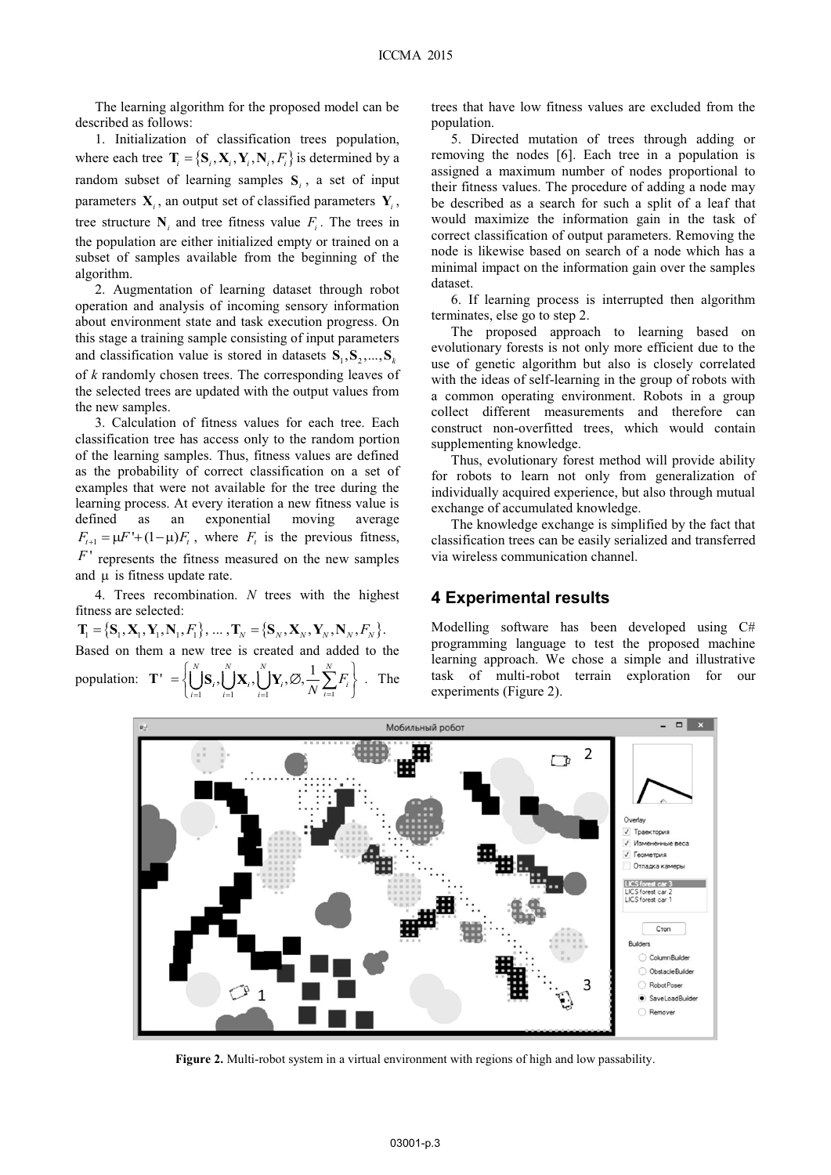The learning algorithm for the proposed model can be described as follows:

1. Initialization of classification trees population, where each tree  $\mathbf{T}_i = \{ \mathbf{S}_i, \mathbf{X}_i, \mathbf{Y}_i, \mathbf{N}_i, F_i \}$  is determined by a random subset of learning samples **S***<sup>i</sup>* , a set of input parameters  $X_i$ , an output set of classified parameters  $Y_i$ , tree structure  $N_i$  and tree fitness value  $F_i$ . The trees in the population are either initialized empty or trained on a subset of samples available from the beginning of the algorithm.

2. Augmentation of learning dataset through robot operation and analysis of incoming sensory information about environment state and task execution progress. On this stage a training sample consisting of input parameters and classification value is stored in datasets  $S_1, S_2, ..., S_k$ of *k* randomly chosen trees. The corresponding leaves of the selected trees are updated with the output values from the new samples.

3. Calculation of fitness values for each tree. Each classification tree has access only to the random portion of the learning samples. Thus, fitness values are defined as the probability of correct classification on a set of examples that were not available for the tree during the learning process. At every iteration a new fitness value is defined as an exponential moving average  $F_{t+1} = \mu F' + (1 - \mu) F_t$ , where  $F_t$  is the previous fitness, *F* ' represents the fitness measured on the new samples and  $\mu$  is fitness update rate.

4. Trees recombination. *N* trees with the highest fitness are selected:

 $\mathbf{T}_1 = \left\{ \mathbf{S}_1, \mathbf{X}_1, \mathbf{Y}_1, \mathbf{N}_1, F_1 \right\}, \dots, \mathbf{T}_N = \left\{ \mathbf{S}_N, \mathbf{X}_N, \mathbf{Y}_N, \mathbf{N}_N, F_N \right\}.$ Based on them a new tree is created and added to the population:  $\mathbf{T}' = \left\{ \bigcup_{i=1}^{N} \mathbf{S}_i, \bigcup_{i=1}^{N} \mathbf{X}_i, \bigcup_{i=1}^{N} \mathbf{Y}_i, \emptyset, \frac{1}{N} \sum_{i=1}^{N} \right\}$  $\bigcup_{i=1}^{\infty} S_i, \bigcup_{i=1}^{\infty} \Lambda_i, \bigcup_{i=1}^{\infty} \mathbf{I}_i, \emptyset, \overline{\bigwedge_{i=1}^{\infty} \sum_{i=1}^{\infty} \Gamma_i}$ *F*  $\mathbf{T}^{\prime} = \left\{ \bigcup_{i=1}^{N} \mathbf{S}_{i}, \bigcup_{i=1}^{N} \mathbf{X}_{i}, \bigcup_{i=1}^{N} \mathbf{Y}_{i}, \emptyset, \frac{1}{N} \sum_{i=1}^{N} F_{i} \right\}$ . The

trees that have low fitness values are excluded from the population.

5. Directed mutation of trees through adding or removing the nodes [6]. Each tree in a population is assigned a maximum number of nodes proportional to their fitness values. The procedure of adding a node may be described as a search for such a split of a leaf that would maximize the information gain in the task of correct classification of output parameters. Removing the node is likewise based on search of a node which has a minimal impact on the information gain over the samples dataset.

6. If learning process is interrupted then algorithm terminates, else go to step 2.

The proposed approach to learning based on evolutionary forests is not only more efficient due to the use of genetic algorithm but also is closely correlated with the ideas of self-learning in the group of robots with a common operating environment. Robots in a group collect different measurements and therefore can construct non-overfitted trees, which would contain supplementing knowledge.

Thus, evolutionary forest method will provide ability for robots to learn not only from generalization of individually acquired experience, but also through mutual exchange of accumulated knowledge.

The knowledge exchange is simplified by the fact that classification trees can be easily serialized and transferred via wireless communication channel.

#### **4 Experimental results**

Modelling software has been developed using C# programming language to test the proposed machine learning approach. We chose a simple and illustrative task of multi-robot terrain exploration for our experiments (Figure 2).



**Figure 2.** Multi-robot system in a virtual environment with regions of high and low passability.